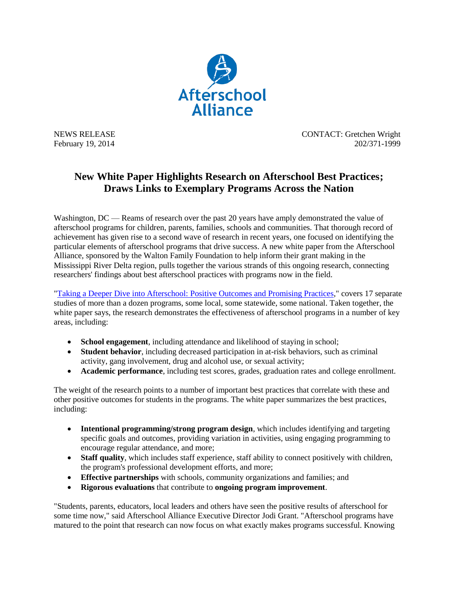

NEWS RELEASE CONTACT: Gretchen Wright February 19, 2014 202/371-1999

## **New White Paper Highlights Research on Afterschool Best Practices; Draws Links to Exemplary Programs Across the Nation**

Washington, DC — Reams of research over the past 20 years have amply demonstrated the value of afterschool programs for children, parents, families, schools and communities. That thorough record of achievement has given rise to a second wave of research in recent years, one focused on identifying the particular elements of afterschool programs that drive success. A new white paper from the Afterschool Alliance, sponsored by the Walton Family Foundation to help inform their grant making in the Mississippi River Delta region, pulls together the various strands of this ongoing research, connecting researchers' findings about best afterschool practices with programs now in the field.

["Taking a Deeper Dive into Afterschool: Positive Outcomes and Promising Practices,](http://afterschoolalliance.org/documents/Deeper_Dive_into_Afterschool.pdf)" covers 17 separate studies of more than a dozen programs, some local, some statewide, some national. Taken together, the white paper says, the research demonstrates the effectiveness of afterschool programs in a number of key areas, including:

- **School engagement**, including attendance and likelihood of staying in school;
- **Student behavior**, including decreased participation in at-risk behaviors, such as criminal activity, gang involvement, drug and alcohol use, or sexual activity;
- **Academic performance**, including test scores, grades, graduation rates and college enrollment.

The weight of the research points to a number of important best practices that correlate with these and other positive outcomes for students in the programs. The white paper summarizes the best practices, including:

- **Intentional programming/strong program design**, which includes identifying and targeting specific goals and outcomes, providing variation in activities, using engaging programming to encourage regular attendance, and more;
- **Staff quality**, which includes staff experience, staff ability to connect positively with children, the program's professional development efforts, and more;
- **Effective partnerships** with schools, community organizations and families; and
- **Rigorous evaluations** that contribute to **ongoing program improvement**.

"Students, parents, educators, local leaders and others have seen the positive results of afterschool for some time now," said Afterschool Alliance Executive Director Jodi Grant. "Afterschool programs have matured to the point that research can now focus on what exactly makes programs successful. Knowing